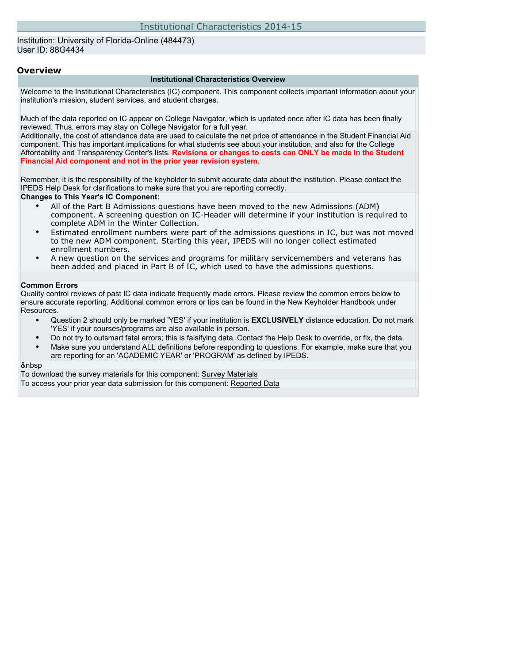### Institution: University of Florida-Online (484473) User ID: 88G4434

### **Overview**

#### **Institutional Characteristics Overview**

Welcome to the Institutional Characteristics (IC) component. This component collects important information about your institution's mission, student services, and student charges.

Much of the data reported on IC appear on College Navigator, which is updated once after IC data has been finally reviewed. Thus, errors may stay on College Navigator for a full year.

Additionally, the cost of attendance data are used to calculate the net price of attendance in the Student Financial Aid component. This has important implications for what students see about your institution, and also for the College Affordability and Transparency Center's lists. **Revisions or changes to costs can ONLY be made in the Student Financial Aid component and not in the prior year revision system.**

Remember, it is the responsibility of the keyholder to submit accurate data about the institution. Please contact the IPEDS Help Desk for clarifications to make sure that you are reporting correctly.

#### **Changes to This Year's IC Component:**

- All of the Part B Admissions questions have been moved to the new Admissions (ADM) component. A screening question on IC-Header will determine if your institution is required to complete ADM in the Winter Collection.
- Estimated enrollment numbers were part of the admissions questions in IC, but was not moved to the new ADM component. Starting this year, IPEDS will no longer collect estimated enrollment numbers.
- A new question on the services and programs for military servicemembers and veterans has been added and placed in Part B of IC, which used to have the admissions questions.

#### **Common Errors**

Quality control reviews of past IC data indicate frequently made errors. Please review the common errors below to ensure accurate reporting. Additional common errors or tips can be found in the New Keyholder Handbook under Resources.

- Question 2 should only be marked 'YES' if your institution is **EXCLUSIVELY** distance education. Do not mark 'YES' if your courses/programs are also available in person.
- Do not try to outsmart fatal errors; this is falsifying data. Contact the Help Desk to override, or fix, the data.
- Make sure you understand ALL definitions before responding to questions. For example, make sure that you are reporting for an 'ACADEMIC YEAR' or 'PROGRAM' as defined by IPEDS.

#### &nbsp

To download the survey materials for this component: [Survey Materials](https://surveys.nces.ed.gov/ipeds/VisIndex.aspx) To access your prior year data submission for this component: [Reported Data](https://surveys.nces.ed.gov/IPEDS/PriorYearDataRedirect.aspx?survey_id=11)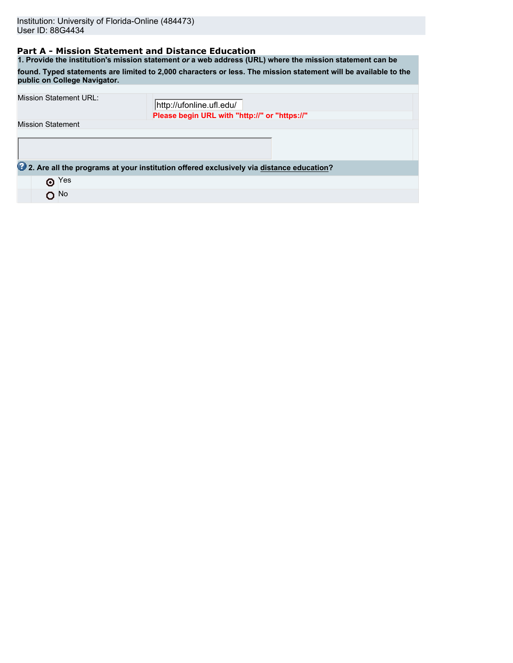## **Part A - Mission Statement and Distance Education**

**1. Provide the institution's mission statement** *or* **a web address (URL) where the mission statement can be found. Typed statements are limited to 2,000 characters or less. The mission statement will be available to the public on College Navigator.**

| <b>Mission Statement URL:</b> | http://ufonline.ufl.edu/                                                                |
|-------------------------------|-----------------------------------------------------------------------------------------|
|                               | Please begin URL with "http://" or "https://"                                           |
| <b>Mission Statement</b>      |                                                                                         |
|                               |                                                                                         |
|                               |                                                                                         |
|                               |                                                                                         |
|                               | 2. Are all the programs at your institution offered exclusively via distance education? |
| Yes<br>⊙                      |                                                                                         |
| $O$ <sup>No</sup>             |                                                                                         |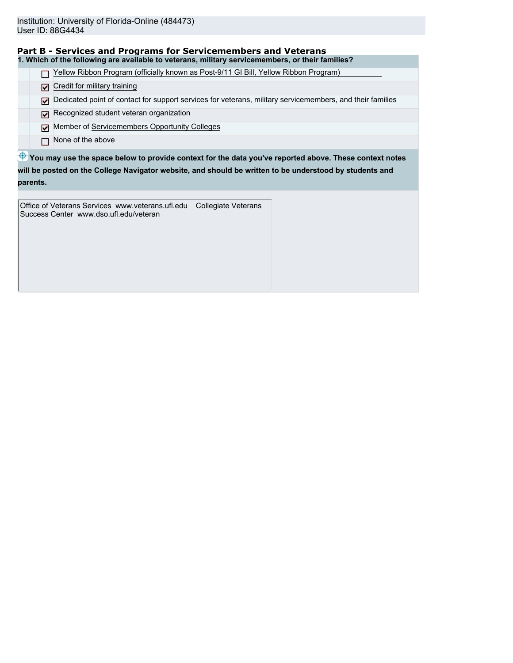**parents.**

 $\bigoplus$  **You may use the space below to provide context for the data you've reported above. These context notes Part B - Services and Programs for Servicemembers and Veterans 1. Which of the following are available to veterans, military servicemembers, or their families?** Yellow Ribbon Program (officially known as Post-9/11 GI Bill, Yellow Ribbon Program) Credit for military training Dedicated point of contact for support services for veterans, military servicemembers, and their families Recognized student veteran organization Member of Servicemembers Opportunity Colleges  $\Box$  None of the above **will be posted on the College Navigator website, and should be written to be understood by students and**

Office of Veterans Services www.veterans.ufl.edu Collegiate Veterans Success Center www.dso.ufl.edu/veteran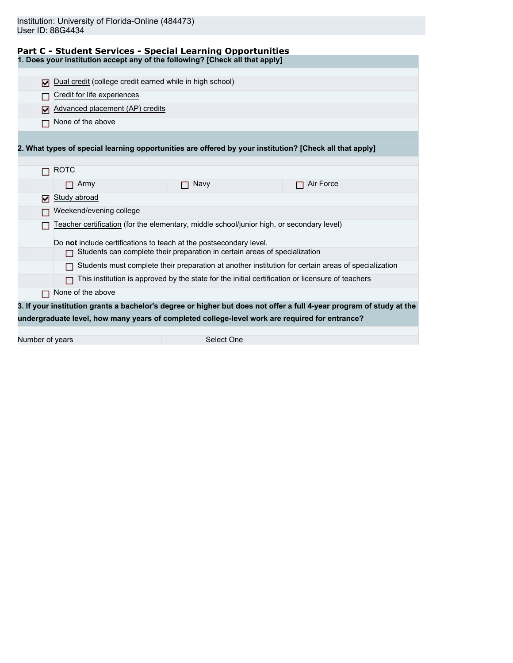|  |  | Part C - Student Services - Special Learning Opportunities |
|--|--|------------------------------------------------------------|
|  |  |                                                            |

**1. Does your institution accept any of the following? [Check all that apply]**

|                                                                    | 罓                                                                                                   | Dual credit (college credit earned while in high school) |                                                                                                         |                                                                                                                      |  |  |  |  |  |  |  |
|--------------------------------------------------------------------|-----------------------------------------------------------------------------------------------------|----------------------------------------------------------|---------------------------------------------------------------------------------------------------------|----------------------------------------------------------------------------------------------------------------------|--|--|--|--|--|--|--|
|                                                                    |                                                                                                     | Credit for life experiences                              |                                                                                                         |                                                                                                                      |  |  |  |  |  |  |  |
|                                                                    | М                                                                                                   | Advanced placement (AP) credits                          |                                                                                                         |                                                                                                                      |  |  |  |  |  |  |  |
|                                                                    |                                                                                                     | None of the above                                        |                                                                                                         |                                                                                                                      |  |  |  |  |  |  |  |
|                                                                    |                                                                                                     |                                                          |                                                                                                         |                                                                                                                      |  |  |  |  |  |  |  |
|                                                                    |                                                                                                     |                                                          | 2. What types of special learning opportunities are offered by your institution? [Check all that apply] |                                                                                                                      |  |  |  |  |  |  |  |
|                                                                    |                                                                                                     |                                                          |                                                                                                         |                                                                                                                      |  |  |  |  |  |  |  |
|                                                                    | <b>ROTC</b>                                                                                         |                                                          |                                                                                                         |                                                                                                                      |  |  |  |  |  |  |  |
|                                                                    |                                                                                                     | Army                                                     | Navy                                                                                                    | Air Force                                                                                                            |  |  |  |  |  |  |  |
|                                                                    | Study abroad<br>ا⊽ا                                                                                 |                                                          |                                                                                                         |                                                                                                                      |  |  |  |  |  |  |  |
|                                                                    | Weekend/evening college                                                                             |                                                          |                                                                                                         |                                                                                                                      |  |  |  |  |  |  |  |
|                                                                    | Teacher certification (for the elementary, middle school/junior high, or secondary level)           |                                                          |                                                                                                         |                                                                                                                      |  |  |  |  |  |  |  |
| Do not include certifications to teach at the postsecondary level. |                                                                                                     |                                                          |                                                                                                         |                                                                                                                      |  |  |  |  |  |  |  |
|                                                                    | Students can complete their preparation in certain areas of specialization                          |                                                          |                                                                                                         |                                                                                                                      |  |  |  |  |  |  |  |
|                                                                    | Students must complete their preparation at another institution for certain areas of specialization |                                                          |                                                                                                         |                                                                                                                      |  |  |  |  |  |  |  |
|                                                                    | This institution is approved by the state for the initial certification or licensure of teachers    |                                                          |                                                                                                         |                                                                                                                      |  |  |  |  |  |  |  |
|                                                                    | П                                                                                                   | None of the above                                        |                                                                                                         |                                                                                                                      |  |  |  |  |  |  |  |
|                                                                    |                                                                                                     |                                                          |                                                                                                         | 3. If your institution grants a bachelor's degree or higher but does not offer a full 4-year program of study at the |  |  |  |  |  |  |  |
|                                                                    |                                                                                                     |                                                          | undergraduate level, how many years of completed college-level work are required for entrance?          |                                                                                                                      |  |  |  |  |  |  |  |
|                                                                    |                                                                                                     |                                                          |                                                                                                         |                                                                                                                      |  |  |  |  |  |  |  |
|                                                                    |                                                                                                     |                                                          |                                                                                                         |                                                                                                                      |  |  |  |  |  |  |  |

Number of years Select One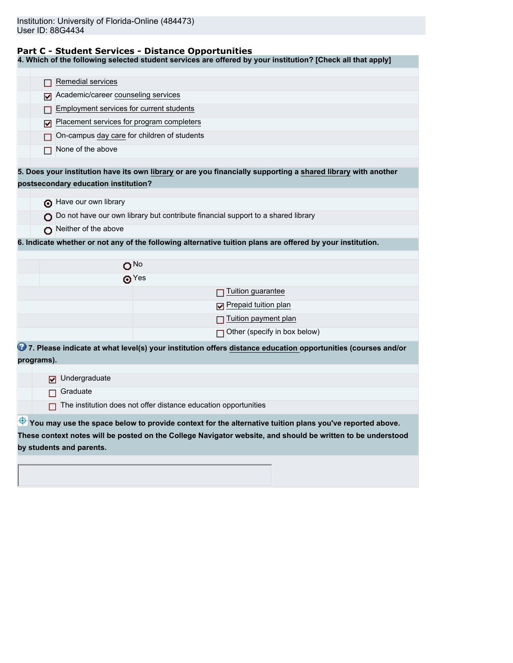## **Part C - Student Services - Distance Opportunities**

**4. Which of the following selected student services are offered by your institution? [Check all that apply]**

|            | Remedial services                                                                                             |  |  |  |  |  |  |  |  |
|------------|---------------------------------------------------------------------------------------------------------------|--|--|--|--|--|--|--|--|
|            |                                                                                                               |  |  |  |  |  |  |  |  |
|            | Academic/career counseling services<br>M                                                                      |  |  |  |  |  |  |  |  |
|            | Employment services for current students                                                                      |  |  |  |  |  |  |  |  |
|            | Placement services for program completers<br>M                                                                |  |  |  |  |  |  |  |  |
|            | On-campus day care for children of students                                                                   |  |  |  |  |  |  |  |  |
|            | None of the above                                                                                             |  |  |  |  |  |  |  |  |
|            | 5. Does your institution have its own library or are you financially supporting a shared library with another |  |  |  |  |  |  |  |  |
|            | postsecondary education institution?                                                                          |  |  |  |  |  |  |  |  |
|            |                                                                                                               |  |  |  |  |  |  |  |  |
|            | have our own library                                                                                          |  |  |  |  |  |  |  |  |
|            | $\bigcirc$ Do not have our own library but contribute financial support to a shared library                   |  |  |  |  |  |  |  |  |
|            | Neither of the above                                                                                          |  |  |  |  |  |  |  |  |
|            | 6. Indicate whether or not any of the following alternative tuition plans are offered by your institution.    |  |  |  |  |  |  |  |  |
|            |                                                                                                               |  |  |  |  |  |  |  |  |
|            | O <sub>No</sub>                                                                                               |  |  |  |  |  |  |  |  |
|            | ക $Yes$                                                                                                       |  |  |  |  |  |  |  |  |
|            | Tuition guarantee                                                                                             |  |  |  |  |  |  |  |  |
|            | Prepaid tuition plan                                                                                          |  |  |  |  |  |  |  |  |
|            | Tuition payment plan                                                                                          |  |  |  |  |  |  |  |  |
|            | $\Box$ Other (specify in box below)                                                                           |  |  |  |  |  |  |  |  |
|            | 7. Please indicate at what level(s) your institution offers distance education opportunities (courses and/or  |  |  |  |  |  |  |  |  |
| programs). |                                                                                                               |  |  |  |  |  |  |  |  |
|            | Undergraduate<br>☑                                                                                            |  |  |  |  |  |  |  |  |
|            | Graduate                                                                                                      |  |  |  |  |  |  |  |  |
|            | The institution does not offer distance education opportunities                                               |  |  |  |  |  |  |  |  |
|            |                                                                                                               |  |  |  |  |  |  |  |  |
|            | You may use the space below to provide context for the alternative tuition plans you've reported above.       |  |  |  |  |  |  |  |  |
|            | These context notes will be posted on the College Navigator website, and should be written to be understood   |  |  |  |  |  |  |  |  |
|            | by students and parents.                                                                                      |  |  |  |  |  |  |  |  |
|            |                                                                                                               |  |  |  |  |  |  |  |  |
|            |                                                                                                               |  |  |  |  |  |  |  |  |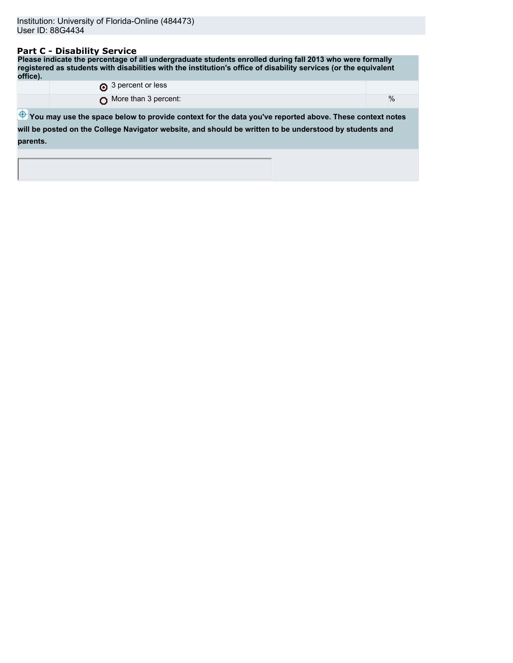## **Part C - Disability Service**

**Please indicate the percentage of all undergraduate students enrolled during fall 2013 who were formally registered as students with disabilities with the institution's office of disability services (or the equivalent office).** 3 percent or less

| $\%$<br>More than 3 percent:                                                                                                                                                                                                  |          |  |  |  |  |  |  |
|-------------------------------------------------------------------------------------------------------------------------------------------------------------------------------------------------------------------------------|----------|--|--|--|--|--|--|
| $\bigoplus$ You may use the space below to provide context for the data you've reported above. These context notes<br>will be posted on the College Navigator website, and should be written to be understood by students and |          |  |  |  |  |  |  |
|                                                                                                                                                                                                                               | parents. |  |  |  |  |  |  |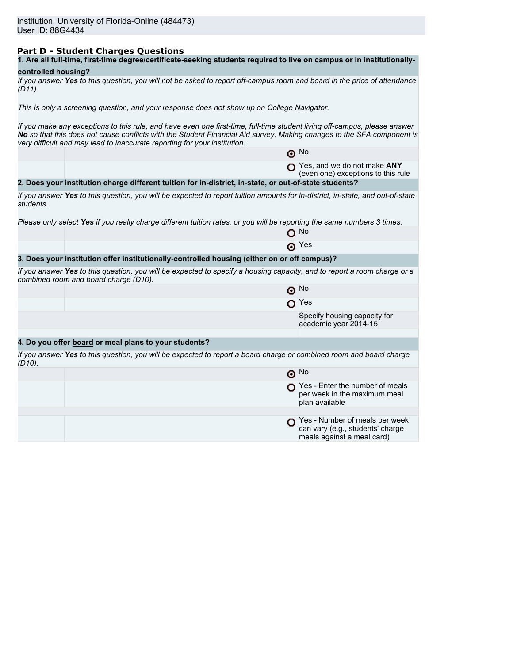## **Part D - Student Charges Questions**

| 1. Are all full-time, first-time degree/certificate-seeking students required to live on campus or in institutionally- |
|------------------------------------------------------------------------------------------------------------------------|
|------------------------------------------------------------------------------------------------------------------------|

## **controlled housing?**

|           | If you answer Yes to this question, you will not be asked to report off-campus room and board in the price of attendance |  |  |
|-----------|--------------------------------------------------------------------------------------------------------------------------|--|--|
| $(D11)$ . |                                                                                                                          |  |  |

*This is only a screening question, and your response does not show up on College Navigator.*

*If you make any exceptions to this rule, and have even one first-time, full-time student living off-campus, please answer No so that this does not cause conflicts with the Student Financial Aid survey. Making changes to the SFA component is very difficult and may lead to inaccurate reporting for your institution.*

|           |                                                                                                                                                                   | $\odot$ No                                                                                       |
|-----------|-------------------------------------------------------------------------------------------------------------------------------------------------------------------|--------------------------------------------------------------------------------------------------|
|           |                                                                                                                                                                   | Yes, and we do not make ANY<br>(even one) exceptions to this rule                                |
|           | 2. Does your institution charge different tuition for in-district, in-state, or out-of-state students?                                                            |                                                                                                  |
| students. | If you answer Yes to this question, you will be expected to report tuition amounts for in-district, in-state, and out-of-state                                    |                                                                                                  |
|           | Please only select Yes if you really charge different tuition rates, or you will be reporting the same numbers 3 times.                                           |                                                                                                  |
|           |                                                                                                                                                                   | ∩ No                                                                                             |
|           |                                                                                                                                                                   | $\odot$ Yes                                                                                      |
|           | 3. Does your institution offer institutionally-controlled housing (either on or off campus)?                                                                      |                                                                                                  |
|           | If you answer Yes to this question, you will be expected to specify a housing capacity, and to report a room charge or a<br>combined room and board charge (D10). |                                                                                                  |
|           |                                                                                                                                                                   | $\odot$ No                                                                                       |
|           |                                                                                                                                                                   | $\mathbf{O}$ Yes                                                                                 |
|           |                                                                                                                                                                   | Specify housing capacity for<br>academic year 2014-15                                            |
|           |                                                                                                                                                                   |                                                                                                  |
|           | 4. Do you offer board or meal plans to your students?                                                                                                             |                                                                                                  |
| $(D10)$ . | If you answer Yes to this question, you will be expected to report a board charge or combined room and board charge                                               |                                                                                                  |
|           |                                                                                                                                                                   | $\odot$ No                                                                                       |
|           |                                                                                                                                                                   | Yes - Enter the number of meals<br>per week in the maximum meal<br>plan available                |
|           |                                                                                                                                                                   |                                                                                                  |
|           |                                                                                                                                                                   | Yes - Number of meals per week<br>can vary (e.g., students' charge<br>meals against a meal card) |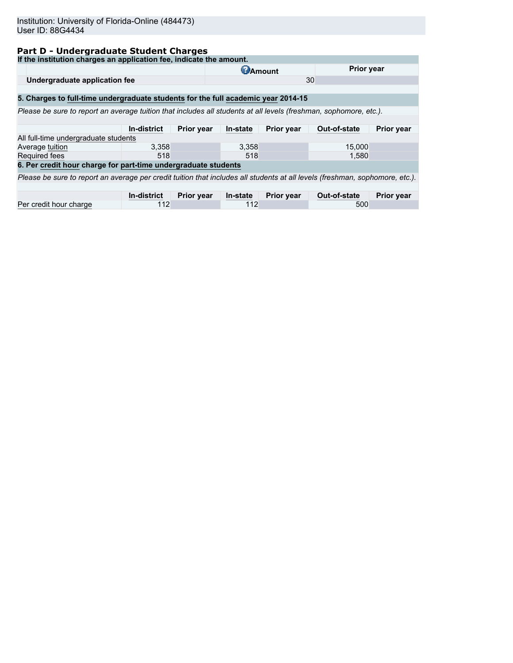# **Part D - Undergraduate Student Charges**

| If the institution charges an application fee, indicate the amount.                                                          |                    |                   |              |                   |              |                   |  |  |  |
|------------------------------------------------------------------------------------------------------------------------------|--------------------|-------------------|--------------|-------------------|--------------|-------------------|--|--|--|
|                                                                                                                              |                    | <b>C</b> Amount   |              | <b>Prior year</b> |              |                   |  |  |  |
| Undergraduate application fee                                                                                                |                    |                   |              |                   | 30           |                   |  |  |  |
|                                                                                                                              |                    |                   |              |                   |              |                   |  |  |  |
| 5. Charges to full-time undergraduate students for the full academic year 2014-15                                            |                    |                   |              |                   |              |                   |  |  |  |
| Please be sure to report an average tuition that includes all students at all levels (freshman, sophomore, etc.).            |                    |                   |              |                   |              |                   |  |  |  |
|                                                                                                                              |                    |                   |              |                   |              |                   |  |  |  |
|                                                                                                                              | <b>In-district</b> | <b>Prior year</b> | In-state     | <b>Prior year</b> | Out-of-state | <b>Prior year</b> |  |  |  |
| All full-time undergraduate students                                                                                         |                    |                   |              |                   |              |                   |  |  |  |
| Average tuition                                                                                                              | 3.358              |                   | 3,358        |                   | 15,000       |                   |  |  |  |
| Required fees                                                                                                                | 518                |                   | 518<br>1,580 |                   |              |                   |  |  |  |
| 6. Per credit hour charge for part-time undergraduate students                                                               |                    |                   |              |                   |              |                   |  |  |  |
| Please be sure to report an average per credit tuition that includes all students at all levels (freshman, sophomore, etc.). |                    |                   |              |                   |              |                   |  |  |  |
|                                                                                                                              |                    |                   |              |                   |              |                   |  |  |  |
|                                                                                                                              | In-district        | Prior year        | In-state     | <b>Prior year</b> | Out-of-state | <b>Prior year</b> |  |  |  |
| Per credit hour charge                                                                                                       | 112                |                   | 112          |                   | 500          |                   |  |  |  |
|                                                                                                                              |                    |                   |              |                   |              |                   |  |  |  |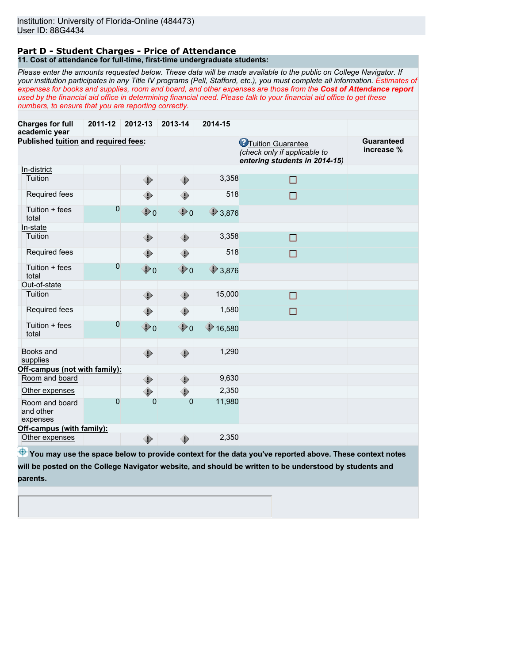#### **Part D - Student Charges - Price of Attendance 11. Cost of attendance for full-time, first-time undergraduate students:**

*Please enter the amounts requested below. These data will be made available to the public on College Navigator. If your institution participates in any Title IV programs (Pell, Stafford, etc.), you must complete all information. Estimates of expenses for books and supplies, room and board, and other expenses are those from the Cost of Attendance report used by the financial aid office in determining financial need. Please talk to your financial aid office to get these numbers, to ensure that you are reporting correctly.*

| <b>Charges for full</b><br>academic year | 2011-12        | 2012-13        | 2013-14      | 2014-15          |                                                                                             |                                 |
|------------------------------------------|----------------|----------------|--------------|------------------|---------------------------------------------------------------------------------------------|---------------------------------|
| Published tuition and required fees:     |                |                |              |                  | <b>C</b> Tuition Guarantee<br>(check only if applicable to<br>entering students in 2014-15) | <b>Guaranteed</b><br>increase % |
| In-district                              |                |                |              |                  |                                                                                             |                                 |
| Tuition                                  |                | ۰              | ◈            | 3,358            | П                                                                                           |                                 |
| Required fees                            |                | ◈              | ◈            | 518              | □                                                                                           |                                 |
| Tuition + fees<br>total                  | $\overline{0}$ | $\bigcirc$ 0   | $\bigcirc$ 0 | $\bigcirc$ 3,876 |                                                                                             |                                 |
| In-state                                 |                |                |              |                  |                                                                                             |                                 |
| Tuition                                  |                | ◈              | ۰            | 3,358            | □                                                                                           |                                 |
| Required fees                            |                | ◈              | ◈            | 518              | □                                                                                           |                                 |
| Tuition + fees<br>total                  | $\overline{0}$ | $\bigcirc$ 0   | $\bigcirc$ 0 | $\bigcirc$ 3,876 |                                                                                             |                                 |
| Out-of-state                             |                |                |              |                  |                                                                                             |                                 |
| Tuition                                  |                | ◈              | ۰            | 15,000           | □                                                                                           |                                 |
| Required fees                            |                | ◈              | ◈            | 1,580            | $\Box$                                                                                      |                                 |
| Tuition + fees<br>total                  | 0              | $\bigcirc$ 0   | $\bigcirc$ o | \$16,580         |                                                                                             |                                 |
| Books and<br>supplies                    |                | ◈              | ◈            | 1,290            |                                                                                             |                                 |
| Off-campus (not with family):            |                |                |              |                  |                                                                                             |                                 |
| Room and board                           |                | ◈              | ۰            | 9,630            |                                                                                             |                                 |
| Other expenses                           |                | ◈              | ◈            | 2,350            |                                                                                             |                                 |
| Room and board<br>and other<br>expenses  | $\mathbf 0$    | $\overline{0}$ | $\mathbf 0$  | 11,980           |                                                                                             |                                 |
| Off-campus (with family):                |                |                |              |                  |                                                                                             |                                 |
| Other expenses                           |                | ⊕              | ◈            | 2,350            |                                                                                             |                                 |

**<sup>4</sup>** You may use the space below to provide context for the data you've reported above. These context notes **will be posted on the College Navigator website, and should be written to be understood by students and parents.**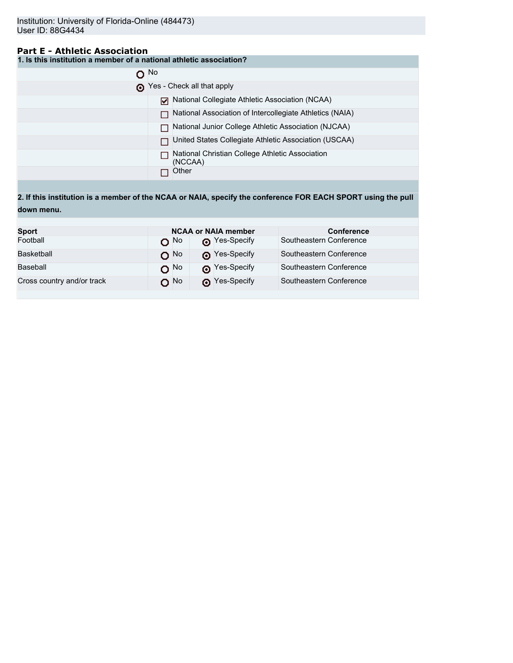## **Part E - Athletic Association**

**1. Is this institution a member of a national athletic association?**

| $\Omega$ No |                                                            |
|-------------|------------------------------------------------------------|
|             | Yes - Check all that apply                                 |
|             | National Collegiate Athletic Association (NCAA)            |
|             | National Association of Intercollegiate Athletics (NAIA)   |
|             | National Junior College Athletic Association (NJCAA)       |
|             | United States Collegiate Athletic Association (USCAA)      |
|             | National Christian College Athletic Association<br>(NCCAA) |
|             | Other                                                      |

**2. If this institution is a member of the NCAA or NAIA, specify the conference FOR EACH SPORT using the pull down menu.**

| <b>Sport</b>               |                   | <b>NCAA or NAIA member</b> | <b>Conference</b>       |
|----------------------------|-------------------|----------------------------|-------------------------|
| Football                   | റ <sup>No</sup>   | Pes-Specify                | Southeastern Conference |
| Basketball                 | $O$ <sup>No</sup> | Pes-Specify                | Southeastern Conference |
| Baseball                   | $O$ No            | Nes-Specify                | Southeastern Conference |
| Cross country and/or track | O No              | Pes-Specify                | Southeastern Conference |
|                            |                   |                            |                         |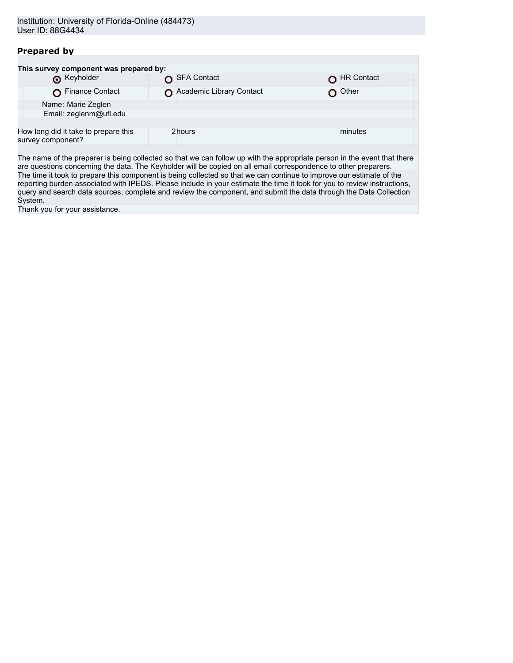# **Prepared by**

| This survey component was prepared by: |                                      |  |                          |  |            |  |
|----------------------------------------|--------------------------------------|--|--------------------------|--|------------|--|
|                                        | <b>O</b> Keyholder                   |  | SFA Contact              |  | HR Contact |  |
|                                        | Finance Contact                      |  | Academic Library Contact |  | Other      |  |
| Name: Marie Zeglen                     |                                      |  |                          |  |            |  |
|                                        | Email: zeglenm@ufl.edu               |  |                          |  |            |  |
|                                        |                                      |  |                          |  |            |  |
| survey component?                      | How long did it take to prepare this |  | 2hours                   |  | minutes    |  |
|                                        |                                      |  |                          |  |            |  |

The name of the preparer is being collected so that we can follow up with the appropriate person in the event that there are questions concerning the data. The Keyholder will be copied on all email correspondence to other preparers. The time it took to prepare this component is being collected so that we can continue to improve our estimate of the reporting burden associated with IPEDS. Please include in your estimate the time it took for you to review instructions, query and search data sources, complete and review the component, and submit the data through the Data Collection System.

Thank you for your assistance.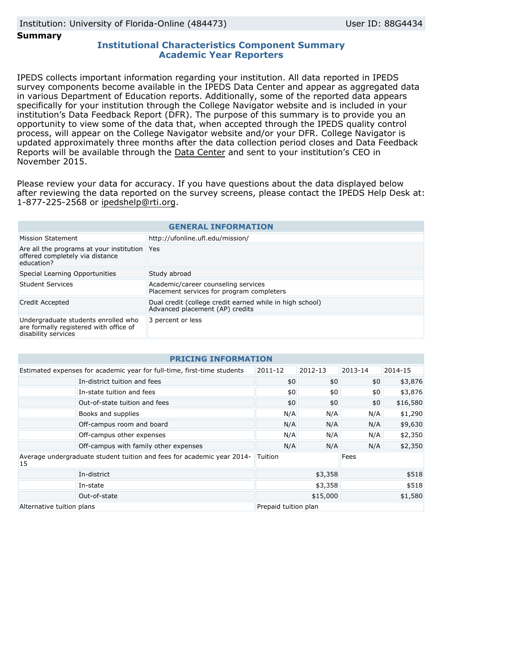**Summary**

## **Institutional Characteristics Component Summary Academic Year Reporters**

IPEDS collects important information regarding your institution. All data reported in IPEDS survey components become available in the IPEDS Data Center and appear as aggregated data in various Department of Education reports. Additionally, some of the reported data appears specifically for your institution through the College Navigator website and is included in your institution's Data Feedback Report (DFR). The purpose of this summary is to provide you an opportunity to view some of the data that, when accepted through the IPEDS quality control process, will appear on the College Navigator website and/or your DFR. College Navigator is updated approximately three months after the data collection period closes and Data Feedback Reports will be available through the [Data Center](http://nces.ed.gov/ipeds/datacenter/) and sent to your institution's CEO in November 2015.

Please review your data for accuracy. If you have questions about the data displayed below after reviewing the data reported on the survey screens, please contact the IPEDS Help Desk at: 1-877-225-2568 or ipedshelp@rti.org.

| <b>GENERAL INFORMATION</b>                                                                           |                                                                                             |  |  |
|------------------------------------------------------------------------------------------------------|---------------------------------------------------------------------------------------------|--|--|
| Mission Statement                                                                                    | http://ufonline.ufl.edu/mission/                                                            |  |  |
| Are all the programs at your institution Yes<br>offered completely via distance<br>education?        |                                                                                             |  |  |
| Special Learning Opportunities                                                                       | Study abroad                                                                                |  |  |
| Student Services                                                                                     | Academic/career counseling services<br>Placement services for program completers            |  |  |
| Credit Accepted                                                                                      | Dual credit (college credit earned while in high school)<br>Advanced placement (AP) credits |  |  |
| Undergraduate students enrolled who<br>are formally registered with office of<br>disability services | 3 percent or less                                                                           |  |  |

| <b>PRICING INFORMATION</b>                                                          |                                       |                      |         |         |          |
|-------------------------------------------------------------------------------------|---------------------------------------|----------------------|---------|---------|----------|
| Estimated expenses for academic year for full-time, first-time students             |                                       | 2011-12              | 2012-13 | 2013-14 | 2014-15  |
|                                                                                     | In-district tuition and fees          | \$0                  | \$0     | \$0     | \$3,876  |
|                                                                                     | In-state tuition and fees             | \$0                  | \$0     | \$0     | \$3,876  |
|                                                                                     | Out-of-state tuition and fees         | \$0                  | \$0     | \$0     | \$16,580 |
|                                                                                     | Books and supplies                    | N/A                  | N/A     | N/A     | \$1,290  |
|                                                                                     | Off-campus room and board             | N/A                  | N/A     | N/A     | \$9,630  |
|                                                                                     | Off-campus other expenses             | N/A                  | N/A     | N/A     | \$2,350  |
|                                                                                     | Off-campus with family other expenses | N/A                  | N/A     | N/A     | \$2,350  |
| Average undergraduate student tuition and fees for academic year 2014-<br><b>15</b> |                                       | Tuition              |         | Fees    |          |
|                                                                                     | In-district                           | \$3,358              |         | \$518   |          |
|                                                                                     | In-state                              | \$3,358              |         | \$518   |          |
|                                                                                     | Out-of-state                          | \$15,000             |         | \$1,580 |          |
| Alternative tuition plans                                                           |                                       | Prepaid tuition plan |         |         |          |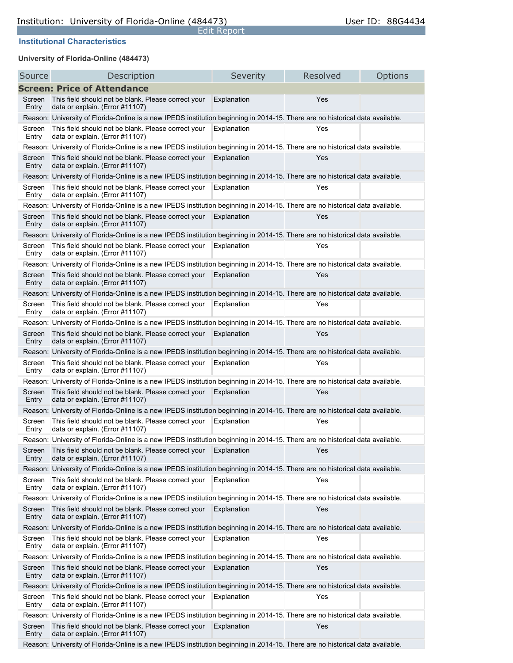Edit Report

# **Institutional Characteristics**

# **University of Florida-Online (484473)**

| Source          | Description                                                                                                                   | Severity    | Resolved | Options |
|-----------------|-------------------------------------------------------------------------------------------------------------------------------|-------------|----------|---------|
|                 | <b>Screen: Price of Attendance</b>                                                                                            |             |          |         |
| Screen<br>Entry | This field should not be blank. Please correct your<br>data or explain. (Error #11107)                                        | Explanation | Yes      |         |
|                 | Reason: University of Florida-Online is a new IPEDS institution beginning in 2014-15. There are no historical data available. |             |          |         |
| Screen<br>Entry | This field should not be blank. Please correct your<br>data or explain. (Error #11107)                                        | Explanation | Yes      |         |
|                 | Reason: University of Florida-Online is a new IPEDS institution beginning in 2014-15. There are no historical data available. |             |          |         |
| Screen<br>Entry | This field should not be blank. Please correct your<br>data or explain. (Error #11107)                                        | Explanation | Yes      |         |
|                 | Reason: University of Florida-Online is a new IPEDS institution beginning in 2014-15. There are no historical data available. |             |          |         |
| Screen<br>Entry | This field should not be blank. Please correct your<br>data or explain. (Error #11107)                                        | Explanation | Yes      |         |
|                 | Reason: University of Florida-Online is a new IPEDS institution beginning in 2014-15. There are no historical data available. |             |          |         |
| Screen<br>Entry | This field should not be blank. Please correct your<br>data or explain. (Error #11107)                                        | Explanation | Yes      |         |
|                 | Reason: University of Florida-Online is a new IPEDS institution beginning in 2014-15. There are no historical data available. |             |          |         |
| Screen<br>Entry | This field should not be blank. Please correct your<br>data or explain. (Error #11107)                                        | Explanation | Yes      |         |
|                 | Reason: University of Florida-Online is a new IPEDS institution beginning in 2014-15. There are no historical data available. |             |          |         |
| Screen<br>Entry | This field should not be blank. Please correct your<br>data or explain. (Error #11107)                                        | Explanation | Yes      |         |
|                 | Reason: University of Florida-Online is a new IPEDS institution beginning in 2014-15. There are no historical data available. |             |          |         |
| Screen<br>Entry | This field should not be blank. Please correct your<br>data or explain. (Error #11107)                                        | Explanation | Yes      |         |
|                 | Reason: University of Florida-Online is a new IPEDS institution beginning in 2014-15. There are no historical data available. |             |          |         |
| Screen<br>Entry | This field should not be blank. Please correct your<br>data or explain. (Error #11107)                                        | Explanation | Yes      |         |
|                 | Reason: University of Florida-Online is a new IPEDS institution beginning in 2014-15. There are no historical data available. |             |          |         |
| Screen<br>Entry | This field should not be blank. Please correct your<br>data or explain. (Error #11107)                                        | Explanation | Yes      |         |
|                 | Reason: University of Florida-Online is a new IPEDS institution beginning in 2014-15. There are no historical data available. |             |          |         |
| Screen<br>Entry | This field should not be blank. Please correct your<br>data or explain. (Error #11107)                                        | Explanation | Yes      |         |
|                 | Reason: University of Florida-Online is a new IPEDS institution beginning in 2014-15. There are no historical data available. |             |          |         |
| Screen<br>Entry | This field should not be blank. Please correct your<br>data or explain. (Error #11107)                                        | Explanation | Yes      |         |
|                 | Reason: University of Florida-Online is a new IPEDS institution beginning in 2014-15. There are no historical data available. |             |          |         |
| Screen<br>Entry | This field should not be blank. Please correct your<br>data or explain. (Error #11107)                                        | Explanation | Yes      |         |
|                 | Reason: University of Florida-Online is a new IPEDS institution beginning in 2014-15. There are no historical data available. |             |          |         |
| Screen<br>Entry | This field should not be blank. Please correct your<br>data or explain. (Error #11107)                                        | Explanation | Yes      |         |
|                 | Reason: University of Florida-Online is a new IPEDS institution beginning in 2014-15. There are no historical data available. |             |          |         |
| Screen<br>Entry | This field should not be blank. Please correct your<br>data or explain. (Error #11107)                                        | Explanation | Yes      |         |
|                 | Reason: University of Florida-Online is a new IPEDS institution beginning in 2014-15. There are no historical data available. |             |          |         |
| Screen<br>Entry | This field should not be blank. Please correct your<br>data or explain. (Error #11107)                                        | Explanation | Yes      |         |
|                 | Reason: University of Florida-Online is a new IPEDS institution beginning in 2014-15. There are no historical data available. |             |          |         |
| Screen<br>Entry | This field should not be blank. Please correct your<br>data or explain. (Error #11107)                                        | Explanation | Yes      |         |
|                 | Reason: University of Florida-Online is a new IPEDS institution beginning in 2014-15. There are no historical data available. |             |          |         |
| Screen<br>Entry | This field should not be blank. Please correct your<br>data or explain. (Error #11107)                                        | Explanation | Yes      |         |
|                 | Reason: University of Florida-Online is a new IPEDS institution beginning in 2014-15. There are no historical data available. |             |          |         |
| Screen<br>Entry | This field should not be blank. Please correct your<br>data or explain. (Error #11107)                                        | Explanation | Yes      |         |
|                 | Reason: University of Florida-Online is a new IPEDS institution beginning in 2014-15. There are no historical data available. |             |          |         |